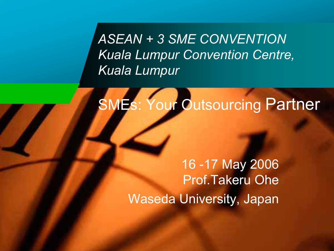*ASEAN + 3 SME CONVENTION Kuala Lumpur Convention Centre, Kuala Lumpur* 

# SMEs: Your Outsourcing Partner

16 -17 May 2006 Prof.Takeru Ohe Waseda University, Japan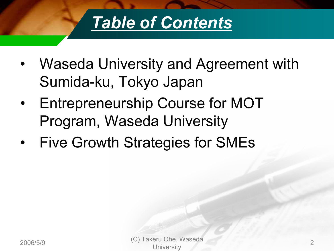

- $\bullet$  Waseda University and Agreement with Sumida-ku, Tokyo Japan
- $\bullet$  Entrepreneurship Course for MOT Program, Waseda University
- •Five Growth Strategies for SMEs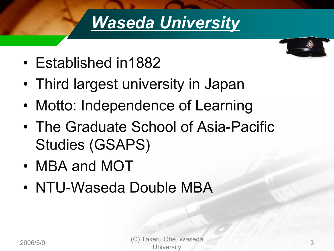# *Waseda University*



- Established in1882
- Third largest university in Japan
- •Motto: Independence of Learning
- The Graduate School of Asia-Pacific Studies (GSAPS)
- MBA and MOT
- NTU-Waseda Double MBA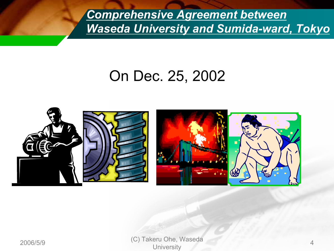*Comprehensive Agreement between Waseda University and Sumida-ward, Tokyo*

## On Dec. 25, 2002

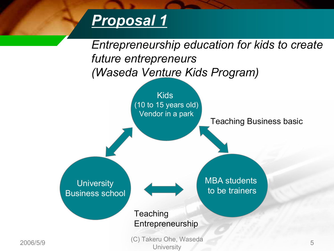## *Proposal 1*



2006/5/9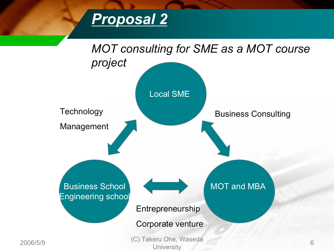

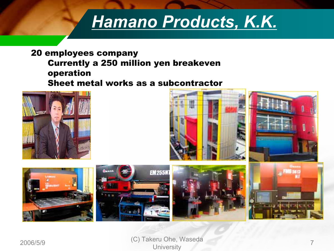# *Hamano Products, K.K.*

#### 20 employees company Currently a 250 million yen breakeven operation Sheet metal works as a subcontractor



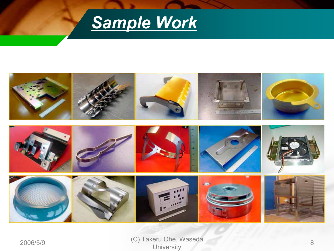

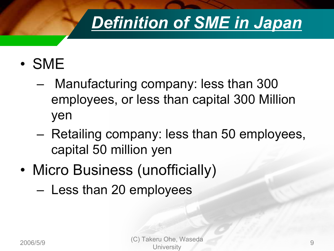# *Definition of SME in Japan*

- SME
	- Manufacturing company: less than 300 employees, or less than capital 300 Million yen
	- Retailing company: less than 50 employees, capital 50 million yen
- • Micro Business (unofficially)
	- Less than 20 employees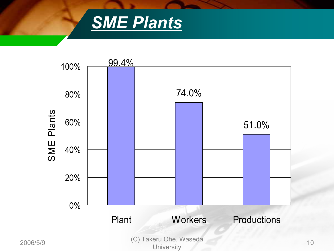

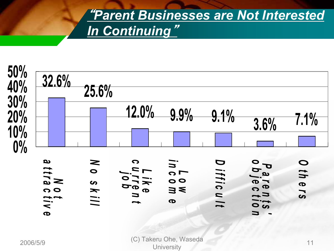## "*Parent Businesses are Not Interested In Continuing*"

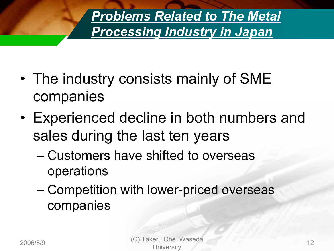*Problems Related to The Metal Processing Industry in Japan*

- • The industry consists mainly of SME companies
- Experienced decline in both numbers and sales during the last ten years
	- Customers have shifted to overseas operations
	- Competition with lower-priced overseas companies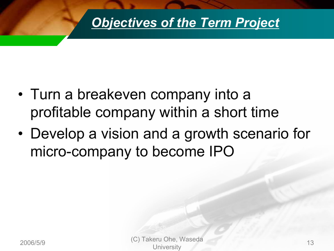

- Turn a breakeven company into a profitable company within a short time
- • Develop a vision and a growth scenario for micro-company to become IPO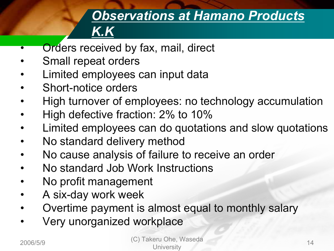## *Observations at Hamano Products K.K*

- •Orders received by fax, mail, direct
- •Small repeat orders
- •Limited employees can input data
- •Short-notice orders
- •High turnover of employees: no technology accumulation
- •High defective fraction: 2% to 10%
- •Limited employees can do quotations and slow quotations
- •No standard delivery method
- •No cause analysis of failure to receive an order
- •No standard Job Work Instructions
- •No profit management
- •A six-day work week
- •Overtime payment is almost equal to monthly salary
- •Very unorganized workplace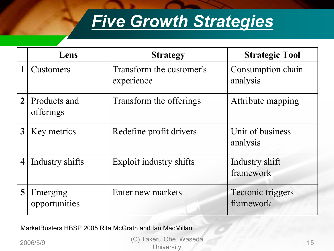# *Five Growth Strategies*

|                | Lens                      | <b>Strategy</b>                        | <b>Strategic Tool</b>          |
|----------------|---------------------------|----------------------------------------|--------------------------------|
|                | <b>Customers</b>          | Transform the customer's<br>experience | Consumption chain<br>analysis  |
| $\overline{2}$ | Products and<br>offerings | Transform the offerings                | Attribute mapping              |
| 3              | Key metrics               | Redefine profit drivers                | Unit of business<br>analysis   |
| 4              | Industry shifts           | Exploit industry shifts                | Industry shift<br>framework    |
| 5              | Emerging<br>opportunities | Enter new markets                      | Tectonic triggers<br>framework |

MarketBusters HBSP 2005 Rita McGrath and Ian MacMillan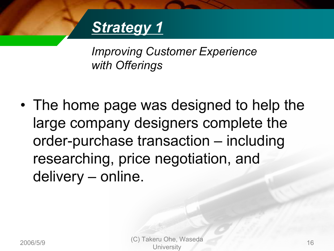# *Strategy 1*

*Improving Customer Experience with Offerings*

• The home page was designed to help the large company designers complete the order-purchase transaction – including researching, price negotiation, and delivery – online.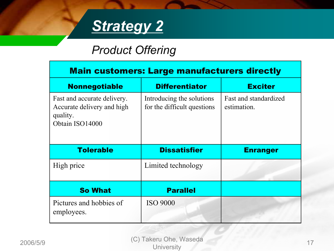

### *Product Offering*

| <b>Main customers: Large manufacturers directly</b>                                      |                                                          |                                      |  |  |
|------------------------------------------------------------------------------------------|----------------------------------------------------------|--------------------------------------|--|--|
| <b>Nonnegotiable</b>                                                                     | <b>Differentiator</b>                                    | <b>Exciter</b>                       |  |  |
| Fast and accurate delivery.<br>Accurate delivery and high<br>quality.<br>Obtain ISO14000 | Introducing the solutions<br>for the difficult questions | Fast and standardized<br>estimation. |  |  |
| <b>Tolerable</b>                                                                         | <b>Dissatisfier</b>                                      | <b>Enranger</b>                      |  |  |
| High price                                                                               | Limited technology                                       |                                      |  |  |
| <b>So What</b>                                                                           | <b>Parallel</b>                                          |                                      |  |  |
| Pictures and hobbies of<br>employees.                                                    | <b>ISO 9000</b>                                          |                                      |  |  |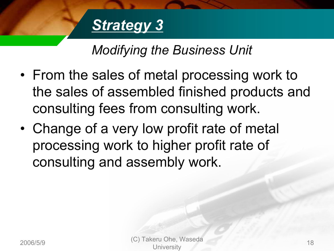# *Strategy 3*

## *Modifying the Business Unit*

- From the sales of metal processing work to the sales of assembled finished products and consulting fees from consulting work.
- Change of a very low profit rate of metal processing work to higher profit rate of consulting and assembly work.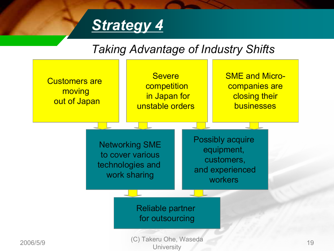# *Strategy 4*

### *Taking Advantage of Industry Shifts*

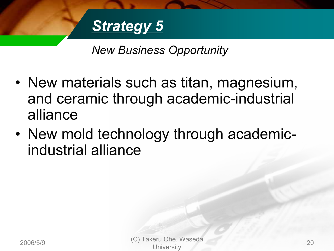

*New Business Opportunity*

- New materials such as titan, magnesium, and ceramic through academic-industrial alliance
- New mold technology through academicindustrial alliance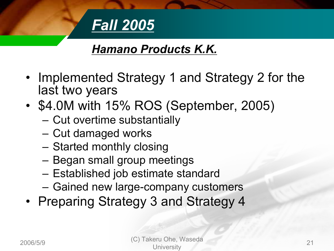

### *Hamano Products K.K.*

- • Implemented Strategy 1 and Strategy 2 for the last two years
- • \$4.0M with 15% ROS (September, 2005)
	- $\mathcal{L}_{\mathcal{A}}$ Cut overtime substantially
	- –Cut damaged works
	- $\mathcal{L}_{\mathcal{A}}$ Started monthly closing
	- $\mathcal{L}_{\mathcal{A}}$ Began small group meetings
	- –Established job estimate standard
	- $\mathcal{L}_{\mathcal{A}}$ Gained new large-company customers
- Preparing Strategy 3 and Strategy 4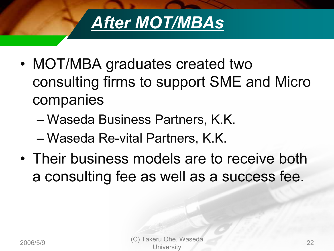

- • MOT/MBA graduates created two consulting firms to support SME and Micro companies
	- Waseda Business Partners, K.K.
	- Waseda Re-vital Partners, K.K.
- Their business models are to receive both a consulting fee as well as a success fee.